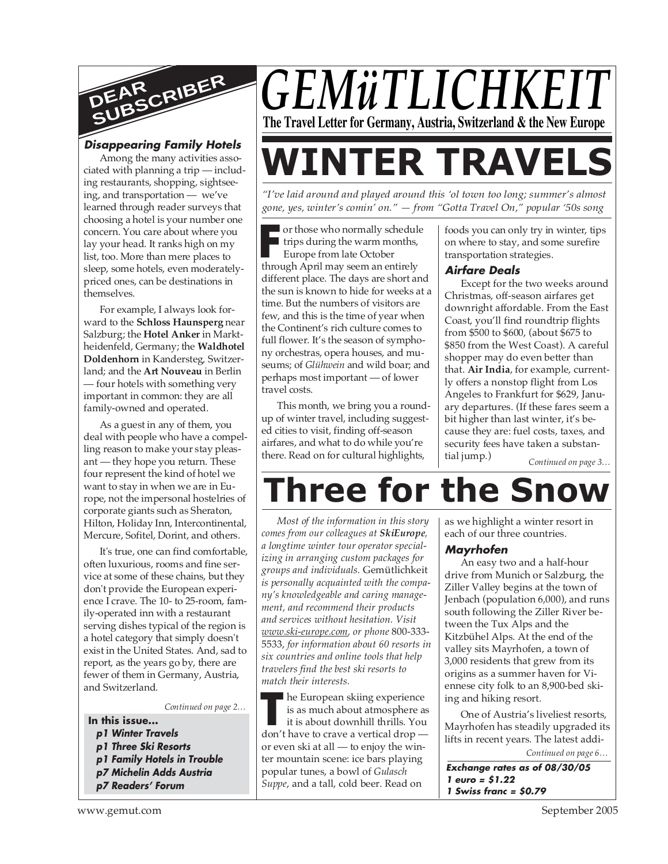

# **Disappearing Family Hotels**

Among the many activities associated with planning a trip — including restaurants, shopping, sightseeing, and transportation — we've learned through reader surveys that choosing a hotel is your number one concern. You care about where you lay your head. It ranks high on my list, too. More than mere places to sleep, some hotels, even moderatelypriced ones, can be destinations in themselves.

For example, I always look forward to the **Schloss Haunsperg** near Salzburg; the **Hotel Anker** in Marktheidenfeld, Germany; the **Waldhotel Doldenhorn** in Kandersteg, Switzerland; and the **Art Nouveau** in Berlin — four hotels with something very important in common: they are all family-owned and operated.

As a guest in any of them, you deal with people who have a compelling reason to make your stay pleasant — they hope you return. These four represent the kind of hotel we want to stay in when we are in Europe, not the impersonal hostelries of corporate giants such as Sheraton, Hilton, Holiday Inn, Intercontinental, Mercure, Sofitel, Dorint, and others.

It's true, one can find comfortable, often luxurious, rooms and fine service at some of these chains, but they don't provide the European experience I crave. The 10- to 25-room, family-operated inn with a restaurant serving dishes typical of the region is a hotel category that simply doesn't exist in the United States. And, sad to report, as the years go by, there are fewer of them in Germany, Austria, and Switzerland.

*Continued on page 2…*

- **In this issue...**
	- **p1 Winter Travels**
	- **p1 Three Ski Resorts**
	- **p1 Family Hotels in Trouble**
	- **p7 Michelin Adds Austria**
	- **p7 Readers' Forum**

# *GEMüTLICHKEIT* **The Travel Letter for Germany, Austria, Switzerland & the New Europe**

# **WINTER TRAVELS**

*"I've laid around and played around this 'ol town too long; summer's almost gone, yes, winter's comin' on." — from "Gotta Travel On," popular '50s song*

Frame who normally schedule<br>
Frame trips during the warm months,<br>
Europe from late October<br>
through April may seem an entirely I trips during the warm months, Europe from late October through April may seem an entirely different place. The days are short and the sun is known to hide for weeks at a time. But the numbers of visitors are few, and this is the time of year when the Continent's rich culture comes to full flower. It's the season of symphony orchestras, opera houses, and museums; of *Glühwein* and wild boar; and perhaps most important — of lower travel costs.

This month, we bring you a roundup of winter travel, including suggested cities to visit, finding off-season airfares, and what to do while you're there. Read on for cultural highlights,

foods you can only try in winter, tips on where to stay, and some surefire transportation strategies.

# **Airfare Deals**

Except for the two weeks around Christmas, off-season airfares get downright affordable. From the East Coast, you'll find roundtrip flights from \$500 to \$600, (about \$675 to \$850 from the West Coast). A careful shopper may do even better than that. **Air India**, for example, currently offers a nonstop flight from Los Angeles to Frankfurt for \$629, January departures. (If these fares seem a bit higher than last winter, it's because they are: fuel costs, taxes, and security fees have taken a substantial jump.)

*Continued on page 3…*

# **Three for the Snow**

*Most of the information in this story comes from our colleagues at SkiEurope, a longtime winter tour operator specializing in arranging custom packages for groups and individuals.* Gemütlichkeit *is personally acquainted with the company's knowledgeable and caring management, and recommend their products and services without hesitation. Visit www.ski-europe.com, or phone* 800-333- 5533, *for information about 60 resorts in six countries and online tools that help travelers find the best ski resorts to match their interests.*

**he European skiing experience** is as much about atmosphere as it is about downhill thrills. You he European skiing experience<br>is as much about atmosphere as<br>it is about downhill thrills. You<br>don't have to crave a vertical drop or even ski at all — to enjoy the winter mountain scene: ice bars playing popular tunes, a bowl of *Gulasch Suppe*, and a tall, cold beer. Read on

as we highlight a winter resort in each of our three countries.

# **Mayrhofen**

An easy two and a half-hour drive from Munich or Salzburg, the Ziller Valley begins at the town of Jenbach (population 6,000), and runs south following the Ziller River between the Tux Alps and the Kitzbühel Alps. At the end of the valley sits Mayrhofen, a town of 3,000 residents that grew from its origins as a summer haven for Viennese city folk to an 8,900-bed skiing and hiking resort.

One of Austria's liveliest resorts, Mayrhofen has steadily upgraded its lifts in recent years. The latest addi-

*Continued on page 6…*

**Exchange rates as of 08/30/05 1 euro = \$1.22 1 Swiss franc = \$0.79**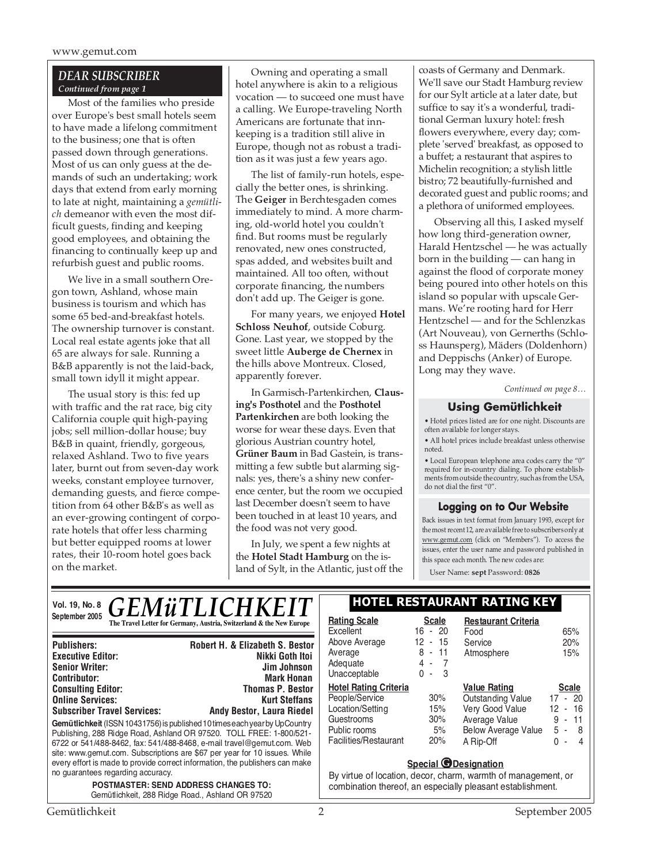## *DEAR SUBSCRIBER Continued from page 1*

Most of the families who preside over Europe's best small hotels seem to have made a lifelong commitment to the business; one that is often passed down through generations. Most of us can only guess at the demands of such an undertaking; work days that extend from early morning to late at night, maintaining a *gemütlich* demeanor with even the most difficult guests, finding and keeping good employees, and obtaining the financing to continually keep up and refurbish guest and public rooms.

We live in a small southern Oregon town, Ashland, whose main business is tourism and which has some 65 bed-and-breakfast hotels. The ownership turnover is constant. Local real estate agents joke that all 65 are always for sale. Running a B&B apparently is not the laid-back, small town idyll it might appear.

The usual story is this: fed up with traffic and the rat race, big city California couple quit high-paying jobs; sell million-dollar house; buy B&B in quaint, friendly, gorgeous, relaxed Ashland. Two to five years later, burnt out from seven-day work weeks, constant employee turnover, demanding guests, and fierce competition from 64 other B&B's as well as an ever-growing contingent of corporate hotels that offer less charming but better equipped rooms at lower rates, their 10-room hotel goes back on the market.

Owning and operating a small hotel anywhere is akin to a religious vocation — to succeed one must have a calling. We Europe-traveling North Americans are fortunate that innkeeping is a tradition still alive in Europe, though not as robust a tradition as it was just a few years ago.

The list of family-run hotels, especially the better ones, is shrinking. The **Geiger** in Berchtesgaden comes immediately to mind. A more charming, old-world hotel you couldn't find. But rooms must be regularly renovated, new ones constructed, spas added, and websites built and maintained. All too often, without corporate financing, the numbers don't add up. The Geiger is gone.

For many years, we enjoyed **Hotel Schloss Neuhof**, outside Coburg. Gone. Last year, we stopped by the sweet little **Auberge de Chernex** in the hills above Montreux. Closed, apparently forever.

In Garmisch-Partenkirchen, **Clausing's Posthotel** and the **Posthotel Partenkirchen** are both looking the worse for wear these days. Even that glorious Austrian country hotel, **Grüner Baum** in Bad Gastein, is transmitting a few subtle but alarming signals: yes, there's a shiny new conference center, but the room we occupied last December doesn't seem to have been touched in at least 10 years, and the food was not very good.

In July, we spent a few nights at the **Hotel Stadt Hamburg** on the island of Sylt, in the Atlantic, just off the coasts of Germany and Denmark. We'll save our Stadt Hamburg review for our Sylt article at a later date, but suffice to say it's a wonderful, traditional German luxury hotel: fresh flowers everywhere, every day; complete 'served' breakfast, as opposed to a buffet; a restaurant that aspires to Michelin recognition; a stylish little bistro; 72 beautifully-furnished and decorated guest and public rooms; and a plethora of uniformed employees.

Observing all this, I asked myself how long third-generation owner, Harald Hentzschel — he was actually born in the building — can hang in against the flood of corporate money being poured into other hotels on this island so popular with upscale Germans. We're rooting hard for Herr Hentzschel — and for the Schlenzkas (Art Nouveau), von Gernerths (Schloss Haunsperg), Mäders (Doldenhorn) and Deppischs (Anker) of Europe. Long may they wave.

*Continued on page 8…*

# **Using Gemütlichkeit**

• Hotel prices listed are for one night. Discounts are often available for longer stays.

• All hotel prices include breakfast unless otherwise noted.

• Local European telephone area codes carry the "0" required for in-country dialing. To phone establishments from outside the country, such as from the USA, do not dial the first "0".

# **Logging on to Our Website**

Back issues in text format from January 1993, except for the most recent 12, are available free to subscribers only at www.gemut.com (click on "Members"). To access the issues, enter the user name and password published in this space each month. The new codes are:

User Name: **sept** Password: **0826**

**Vol. 19, No. 8 September 2005**

# *GEMüTLICHK* **The Travel Letter for Germany, Austria, Switzerland & the New Europe**

| <b>Robert H. &amp; Elizabeth S. Bestor</b>                                                                                                                                                                                                                                                                                                                                              |
|-----------------------------------------------------------------------------------------------------------------------------------------------------------------------------------------------------------------------------------------------------------------------------------------------------------------------------------------------------------------------------------------|
| Nikki Goth Itoi                                                                                                                                                                                                                                                                                                                                                                         |
| Jim Johnson                                                                                                                                                                                                                                                                                                                                                                             |
| <b>Mark Honan</b>                                                                                                                                                                                                                                                                                                                                                                       |
| <b>Thomas P. Bestor</b>                                                                                                                                                                                                                                                                                                                                                                 |
| <b>Kurt Steffans</b>                                                                                                                                                                                                                                                                                                                                                                    |
| <b>Andy Bestor, Laura Riedel</b>                                                                                                                                                                                                                                                                                                                                                        |
| Gemütlichkeit (ISSN 10431756) is published 10 times each year by UpCountry<br>Publishing, 288 Ridge Road, Ashland OR 97520. TOLL FREE: 1-800/521-<br>6722 or 541/488-8462, fax: 541/488-8468, e-mail travel@gemut.com. Web<br>site: www.gemut.com. Subscriptions are \$67 per year for 10 issues. While<br>every effort is made to provide correct information, the publishers can make |
|                                                                                                                                                                                                                                                                                                                                                                                         |

*POSTMASTER: SEND ADDRESS CHANGES TO:* Gemütlichkeit, 288 Ridge Road., Ashland OR 97520

# **HOTEL RESTAURANT RATING KEY**

| Rating Scale                 | <b>Scale</b>                    | <b>Restaurant Criteria</b> |                              |
|------------------------------|---------------------------------|----------------------------|------------------------------|
| Excellent                    | $-20$<br>16                     | Food                       | 65%                          |
| Above Average                | 12<br>- 15                      | Service                    | 20%                          |
| Average                      | - 11<br>8                       | Atmosphere                 | 15%                          |
| Adequate                     | 4 -                             |                            |                              |
| Unacceptable                 | 3<br>$\Omega$<br>$\blacksquare$ |                            |                              |
| <b>Hotel Rating Criteria</b> |                                 | <b>Value Rating</b>        | <b>Scale</b>                 |
| People/Service               | 30%                             | <b>Outstanding Value</b>   | $-20$<br>17                  |
| Location/Setting             | 15%                             | Very Good Value            | 12 - 16                      |
| Guestrooms                   | 30%                             | Average Value              | $-11$<br>9<br>$\blacksquare$ |
| Public rooms                 | 5%                              | <b>Below Average Value</b> | 5 -<br>8                     |
| Facilities/Restaurant        | 20%                             | A Rip-Off                  | U<br>4<br>ä,                 |
|                              |                                 |                            |                              |

### **Special** *O* Designation

By virtue of location, decor, charm, warmth of management, or combination thereof, an especially pleasant establishment.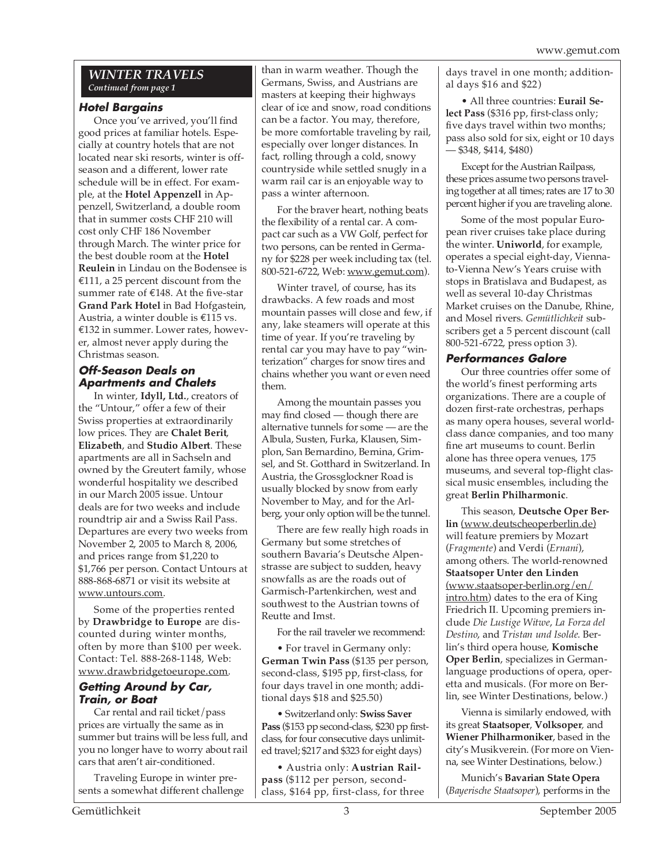# *WINTER TRAVELS Continued from page 1*

# **Hotel Bargains**

Once you've arrived, you'll find good prices at familiar hotels. Especially at country hotels that are not located near ski resorts, winter is offseason and a different, lower rate schedule will be in effect. For example, at the **Hotel Appenzell** in Appenzell, Switzerland, a double room that in summer costs CHF 210 will cost only CHF 186 November through March. The winter price for the best double room at the **Hotel Reulein** in Lindau on the Bodensee is €111, a 25 percent discount from the summer rate of €148. At the five-star **Grand Park Hotel** in Bad Hofgastein, Austria, a winter double is €115 vs. €132 in summer. Lower rates, however, almost never apply during the Christmas season.

# **Off-Season Deals on Apartments and Chalets**

In winter, **Idyll, Ltd.**, creators of the "Untour," offer a few of their Swiss properties at extraordinarily low prices. They are **Chalet Berit**, **Elizabeth**, and **Studio Albert**. These apartments are all in Sachseln and owned by the Greutert family, whose wonderful hospitality we described in our March 2005 issue. Untour deals are for two weeks and include roundtrip air and a Swiss Rail Pass. Departures are every two weeks from November 2, 2005 to March 8, 2006, and prices range from \$1,220 to \$1,766 per person. Contact Untours at 888-868-6871 or visit its website at www.untours.com.

Some of the properties rented by **Drawbridge to Europe** are discounted during winter months, often by more than \$100 per week. Contact: Tel. 888-268-1148, Web: www.drawbridgetoeurope.com.

# **Getting Around by Car, Train, or Boat**

Car rental and rail ticket/pass prices are virtually the same as in summer but trains will be less full, and you no longer have to worry about rail cars that aren't air-conditioned.

Traveling Europe in winter presents a somewhat different challenge than in warm weather. Though the Germans, Swiss, and Austrians are masters at keeping their highways clear of ice and snow, road conditions can be a factor. You may, therefore, be more comfortable traveling by rail, especially over longer distances. In fact, rolling through a cold, snowy countryside while settled snugly in a warm rail car is an enjoyable way to pass a winter afternoon.

For the braver heart, nothing beats the flexibility of a rental car. A compact car such as a VW Golf, perfect for two persons, can be rented in Germany for \$228 per week including tax (tel. 800-521-6722, Web: www.gemut.com).

Winter travel, of course, has its drawbacks. A few roads and most mountain passes will close and few, if any, lake steamers will operate at this time of year. If you're traveling by rental car you may have to pay "winterization" charges for snow tires and chains whether you want or even need them.

Among the mountain passes you may find closed — though there are alternative tunnels for some — are the Albula, Susten, Furka, Klausen, Simplon, San Bernardino, Bernina, Grimsel, and St. Gotthard in Switzerland. In Austria, the Grossglockner Road is usually blocked by snow from early November to May, and for the Arlberg, your only option will be the tunnel.

There are few really high roads in Germany but some stretches of southern Bavaria's Deutsche Alpenstrasse are subject to sudden, heavy snowfalls as are the roads out of Garmisch-Partenkirchen, west and southwest to the Austrian towns of Reutte and Imst.

For the rail traveler we recommend:

• For travel in Germany only: **German Twin Pass** (\$135 per person, second-class, \$195 pp, first-class, for four days travel in one month; additional days \$18 and \$25.50)

• Switzerland only: **Swiss Saver Pass** (\$153 pp second-class, \$230 pp firstclass, for four consecutive days unlimited travel; \$217 and \$323 for eight days)

• Austria only: **Austrian Railpass** (\$112 per person, secondclass, \$164 pp, first-class, for three days travel in one month; additional days \$16 and \$22)

• All three countries: **Eurail Select Pass** (\$316 pp, first-class only; five days travel within two months; pass also sold for six, eight or 10 days — \$348, \$414, \$480)

Except for the Austrian Railpass, these prices assume two persons traveling together at all times; rates are 17 to 30 percent higher if you are traveling alone.

Some of the most popular European river cruises take place during the winter. **Uniworld**, for example, operates a special eight-day, Viennato-Vienna New's Years cruise with stops in Bratislava and Budapest, as well as several 10-day Christmas Market cruises on the Danube, Rhine, and Mosel rivers. *Gemütlichkeit* subscribers get a 5 percent discount (call 800-521-6722, press option 3).

# **Performances Galore**

Our three countries offer some of the world's finest performing arts organizations. There are a couple of dozen first-rate orchestras, perhaps as many opera houses, several worldclass dance companies, and too many fine art museums to count. Berlin alone has three opera venues, 175 museums, and several top-flight classical music ensembles, including the great **Berlin Philharmonic**.

This season, **Deutsche Oper Berlin** (www.deutscheoperberlin.de) will feature premiers by Mozart (*Fragmente*) and Verdi (*Ernani*), among others. The world-renowned **Staatsoper Unter den Linden** (www.staatsoper-berlin.org/en/ intro.htm) dates to the era of King Friedrich II. Upcoming premiers include *Die Lustige Witwe*, *La Forza del Destino*, and *Tristan und Isolde*. Berlin's third opera house, **Komische Oper Berlin**, specializes in Germanlanguage productions of opera, operetta and musicals. (For more on Berlin, see Winter Destinations, below.)

Vienna is similarly endowed, with its great **Staatsoper**, **Volksoper***,* and **Wiener Philharmoniker**, based in the city's Musikverein. (For more on Vienna, see Winter Destinations, below.)

Munich's **Bavarian State Opera** (*Bayerische Staatsoper*), performs in the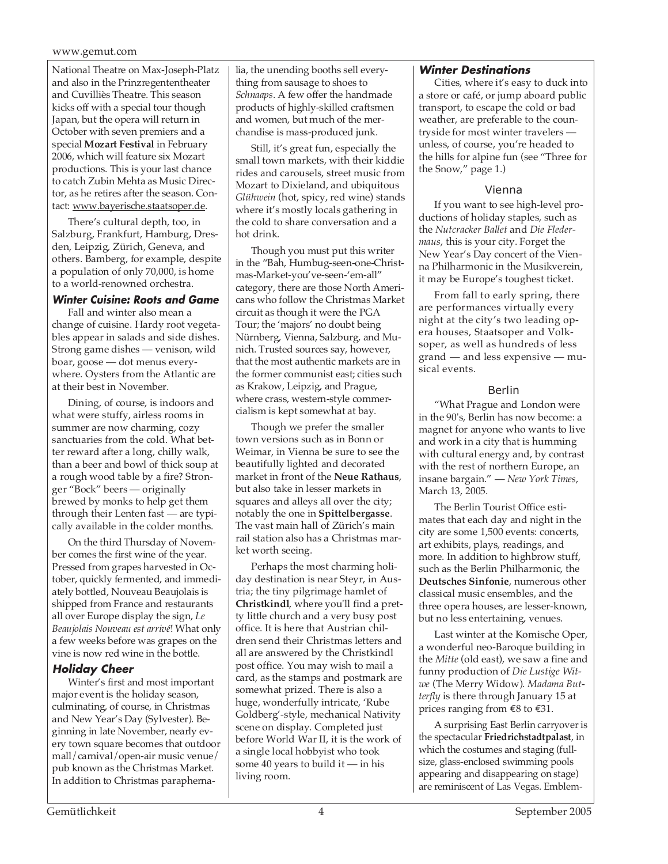National Theatre on Max-Joseph-Platz and also in the Prinzregententheater and Cuvilliès Theatre. This season kicks off with a special tour though Japan, but the opera will return in October with seven premiers and a special **Mozart Festival** in February 2006, which will feature six Mozart productions. This is your last chance to catch Zubin Mehta as Music Director, as he retires after the season. Contact: www.bayerische.staatsoper.de.

There's cultural depth, too, in Salzburg, Frankfurt, Hamburg, Dresden, Leipzig, Zürich, Geneva, and others. Bamberg, for example, despite a population of only 70,000, is home to a world-renowned orchestra.

# **Winter Cuisine: Roots and Game**

Fall and winter also mean a change of cuisine. Hardy root vegetables appear in salads and side dishes. Strong game dishes — venison, wild boar, goose — dot menus everywhere. Oysters from the Atlantic are at their best in November.

Dining, of course, is indoors and what were stuffy, airless rooms in summer are now charming, cozy sanctuaries from the cold. What better reward after a long, chilly walk, than a beer and bowl of thick soup at a rough wood table by a fire? Stronger "Bock" beers — originally brewed by monks to help get them through their Lenten fast — are typically available in the colder months.

On the third Thursday of November comes the first wine of the year. Pressed from grapes harvested in October, quickly fermented, and immediately bottled, Nouveau Beaujolais is shipped from France and restaurants all over Europe display the sign, *Le Beaujolais Nouveau est arrivé*! What only a few weeks before was grapes on the vine is now red wine in the bottle.

# **Holiday Cheer**

Winter's first and most important major event is the holiday season, culminating, of course, in Christmas and New Year's Day (Sylvester). Beginning in late November, nearly every town square becomes that outdoor mall/carnival/open-air music venue/ pub known as the Christmas Market. In addition to Christmas paraphernalia, the unending booths sell everything from sausage to shoes to *Schnaaps*. A few offer the handmade products of highly-skilled craftsmen and women, but much of the merchandise is mass-produced junk.

Still, it's great fun, especially the small town markets, with their kiddie rides and carousels, street music from Mozart to Dixieland, and ubiquitous *Glühwein* (hot, spicy, red wine) stands where it's mostly locals gathering in the cold to share conversation and a hot drink.

Though you must put this writer in the "Bah, Humbug-seen-one-Christmas-Market-you've-seen-'em-all" category, there are those North Americans who follow the Christmas Market circuit as though it were the PGA Tour; the 'majors' no doubt being Nürnberg, Vienna, Salzburg, and Munich. Trusted sources say, however, that the most authentic markets are in the former communist east; cities such as Krakow, Leipzig, and Prague, where crass, western-style commercialism is kept somewhat at bay.

Though we prefer the smaller town versions such as in Bonn or Weimar, in Vienna be sure to see the beautifully lighted and decorated market in front of the **Neue Rathaus**, but also take in lesser markets in squares and alleys all over the city; notably the one in **Spittelbergasse**. The vast main hall of Zürich's main rail station also has a Christmas market worth seeing.

Perhaps the most charming holiday destination is near Steyr, in Austria; the tiny pilgrimage hamlet of **Christkindl**, where you'll find a pretty little church and a very busy post office. It is here that Austrian children send their Christmas letters and all are answered by the Christkindl post office. You may wish to mail a card, as the stamps and postmark are somewhat prized. There is also a huge, wonderfully intricate, 'Rube Goldberg'-style, mechanical Nativity scene on display. Completed just before World War II, it is the work of a single local hobbyist who took some 40 years to build it — in his living room.

# **Winter Destinations**

Cities, where it's easy to duck into a store or café, or jump aboard public transport, to escape the cold or bad weather, are preferable to the countryside for most winter travelers unless, of course, you're headed to the hills for alpine fun (see "Three for the Snow," page 1.)

# Vienna

If you want to see high-level productions of holiday staples, such as the *Nutcracker Ballet* and *Die Fledermaus*, this is your city. Forget the New Year's Day concert of the Vienna Philharmonic in the Musikverein, it may be Europe's toughest ticket.

From fall to early spring, there are performances virtually every night at the city's two leading opera houses, Staatsoper and Volksoper, as well as hundreds of less grand — and less expensive — musical events.

# Berlin

"What Prague and London were in the 90's, Berlin has now become: a magnet for anyone who wants to live and work in a city that is humming with cultural energy and, by contrast with the rest of northern Europe, an insane bargain." — *New York Times*, March 13, 2005.

The Berlin Tourist Office estimates that each day and night in the city are some 1,500 events: concerts, art exhibits, plays, readings, and more. In addition to highbrow stuff, such as the Berlin Philharmonic, the **Deutsches Sinfonie**, numerous other classical music ensembles, and the three opera houses, are lesser-known, but no less entertaining, venues.

Last winter at the Komische Oper, a wonderful neo-Baroque building in the *Mitte* (old east), we saw a fine and funny production of *Die Lustige Witwe* (The Merry Widow). *Madama Butterfly* is there through January 15 at prices ranging from €8 to €31.

A surprising East Berlin carryover is the spectacular **Friedrichstadtpalast**, in which the costumes and staging (fullsize, glass-enclosed swimming pools appearing and disappearing on stage) are reminiscent of Las Vegas. Emblem-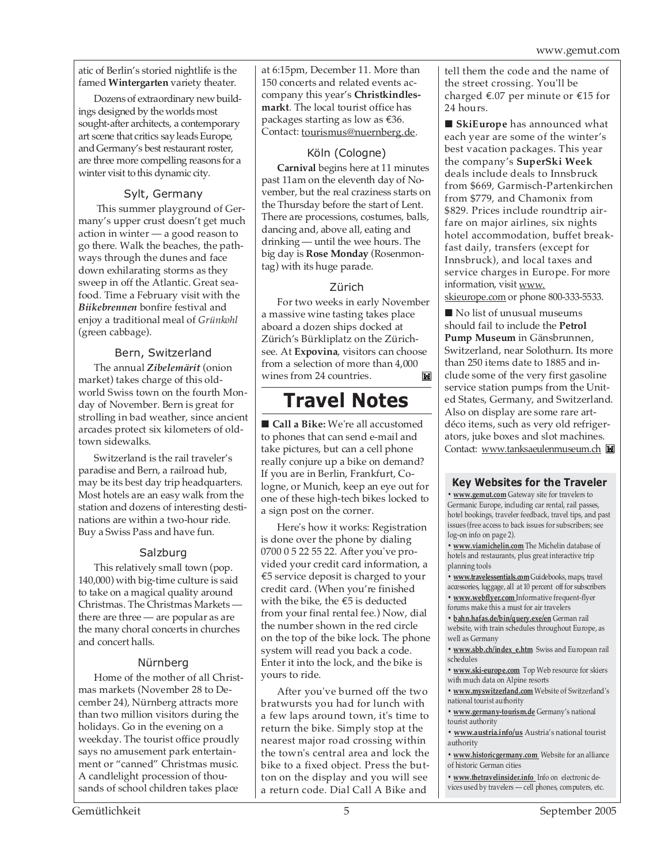atic of Berlin's storied nightlife is the famed **Wintergarten** variety theater.

Dozens of extraordinary new buildings designed by the worlds most sought-after architects, a contemporary art scene that critics say leads Europe, and Germany's best restaurant roster, are three more compelling reasons for a winter visit to this dynamic city.

# Sylt, Germany

 This summer playground of Germany's upper crust doesn't get much action in winter — a good reason to go there. Walk the beaches, the pathways through the dunes and face down exhilarating storms as they sweep in off the Atlantic. Great seafood. Time a February visit with the *Biikebrennen* bonfire festival and enjoy a traditional meal of *Grünkohl* (green cabbage).

# Bern, Switzerland

The annual *Zibelemärit* (onion market) takes charge of this oldworld Swiss town on the fourth Monday of November. Bern is great for strolling in bad weather, since ancient arcades protect six kilometers of oldtown sidewalks.

Switzerland is the rail traveler's paradise and Bern, a railroad hub, may be its best day trip headquarters. Most hotels are an easy walk from the station and dozens of interesting destinations are within a two-hour ride. Buy a Swiss Pass and have fun.

# Salzburg

This relatively small town (pop. 140,000) with big-time culture is said to take on a magical quality around Christmas. The Christmas Markets there are three — are popular as are the many choral concerts in churches and concert halls.

# Nürnberg

Home of the mother of all Christmas markets (November 28 to December 24), Nürnberg attracts more than two million visitors during the holidays. Go in the evening on a weekday. The tourist office proudly says no amusement park entertainment or "canned" Christmas music. A candlelight procession of thousands of school children takes place

at 6:15pm, December 11. More than 150 concerts and related events accompany this year's **Christkindlesmarkt**. The local tourist office has packages starting as low as  $€36$ . Contact: tourismus@nuernberg.de.

# Köln (Cologne)

**Carnival** begins here at 11 minutes past 11am on the eleventh day of November, but the real craziness starts on the Thursday before the start of Lent. There are processions, costumes, balls, dancing and, above all, eating and drinking — until the wee hours. The big day is **Rose Monday** (Rosenmontag) with its huge parade.

# Zürich

For two weeks in early November a massive wine tasting takes place aboard a dozen ships docked at Zürich's Bürkliplatz on the Zürichsee. At **Expovina**, visitors can choose from a selection of more than 4,000 wines from 24 countries. M

# **Travel Notes**

■ **Call a Bike:** We're all accustomed to phones that can send e-mail and take pictures, but can a cell phone really conjure up a bike on demand? If you are in Berlin, Frankfurt, Cologne, or Munich, keep an eye out for one of these high-tech bikes locked to a sign post on the corner.

Here's how it works: Registration is done over the phone by dialing 0700 0 5 22 55 22. After you've provided your credit card information, a €5 service deposit is charged to your credit card. (When you're finished with the bike, the €5 is deducted from your final rental fee.) Now, dial the number shown in the red circle on the top of the bike lock. The phone system will read you back a code. Enter it into the lock, and the bike is yours to ride.

After you've burned off the two bratwursts you had for lunch with a few laps around town, it's time to return the bike. Simply stop at the nearest major road crossing within the town's central area and lock the bike to a fixed object. Press the button on the display and you will see a return code. Dial Call A Bike and

tell them the code and the name of the street crossing. You'll be charged €.07 per minute or €15 for 24 hours.

■ **SkiEurope** has announced what each year are some of the winter's best vacation packages. This year the company's **SuperSki Week** deals include deals to Innsbruck from \$669, Garmisch-Partenkirchen from \$779, and Chamonix from \$829. Prices include roundtrip airfare on major airlines, six nights hotel accommodation, buffet breakfast daily, transfers (except for Innsbruck), and local taxes and service charges in Europe. For more information, visit www.

skieurope.com or phone 800-333-5533.

■ No list of unusual museums should fail to include the **Petrol Pump Museum** in Gänsbrunnen, Switzerland, near Solothurn. Its more than 250 items date to 1885 and include some of the very first gasoline service station pumps from the United States, Germany, and Switzerland. Also on display are some rare artdéco items, such as very old refrigerators, juke boxes and slot machines. Contact: www.tanksaeulenmuseum.ch

# **Key Websites for the Traveler**

**• www.gemut.com** Gateway site for travelers to Germanic Europe, including car rental, rail passes, hotel bookings, traveler feedback, travel tips, and past issues (free access to back issues for subscribers; see log-on info on page 2).

**• www.viamichelin.com** The Michelin database of hotels and restaurants, plus great interactive trip planning tools

**• www.travelessentials.com** Guidebooks, maps, travel accessories, luggage, all at 10 percent off for subscribers

**• www.webflyer.com** Informative frequent-flyer forums make this a must for air travelers

**• bahn.hafas.de/bin/query.exe/en** German rail website, with train schedules throughout Europe, as well as Germany

**• www.sbb.ch/index\_e.htm** Swiss and European rail schedules

**• www.ski-europe.com** Top Web resource for skiers with much data on Alpine resorts

**• www.myswitzerland.com** Website of Switzerland's national tourist authority

**• www.germany-tourism.de** Germany's national tourist authority

**• www.austria.info/us** Austria's national tourist authority

**• www.historicgermany.com** Website for an alliance of historic German cities

**• www.thetravelinsider.info** Info on electronic devices used by travelers — cell phones, computers, etc.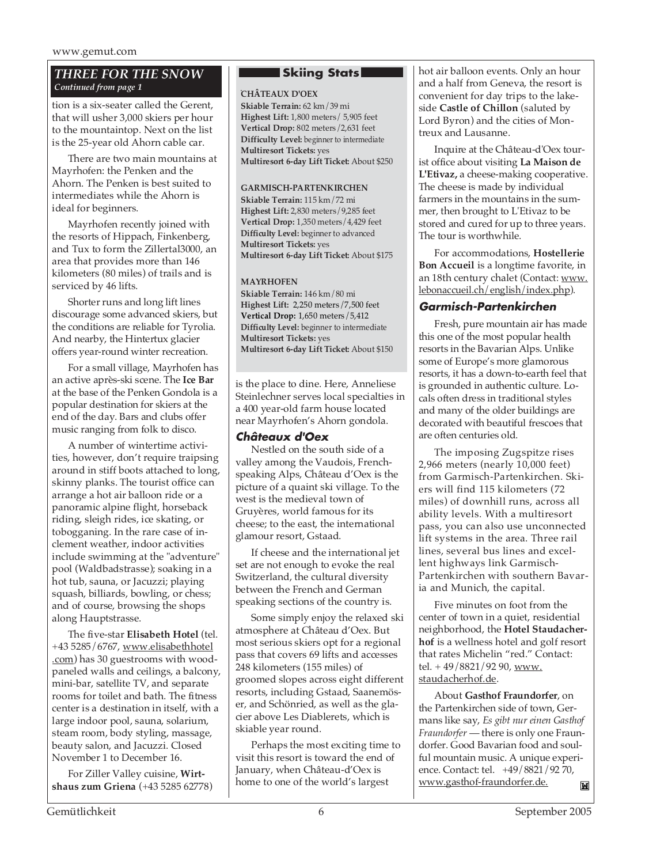# *THREE FOR THE SNOW Continued from page 1*

tion is a six-seater called the Gerent, that will usher 3,000 skiers per hour to the mountaintop. Next on the list is the 25-year old Ahorn cable car.

There are two main mountains at Mayrhofen: the Penken and the Ahorn. The Penken is best suited to intermediates while the Ahorn is ideal for beginners.

Mayrhofen recently joined with the resorts of Hippach, Finkenberg, and Tux to form the Zillertal3000, an area that provides more than 146 kilometers (80 miles) of trails and is serviced by 46 lifts.

Shorter runs and long lift lines discourage some advanced skiers, but the conditions are reliable for Tyrolia. And nearby, the Hintertux glacier offers year-round winter recreation.

For a small village, Mayrhofen has an active après-ski scene. The **Ice Bar** at the base of the Penken Gondola is a popular destination for skiers at the end of the day. Bars and clubs offer music ranging from folk to disco.

A number of wintertime activities, however, don't require traipsing around in stiff boots attached to long, skinny planks. The tourist office can arrange a hot air balloon ride or a panoramic alpine flight, horseback riding, sleigh rides, ice skating, or tobogganing. In the rare case of inclement weather, indoor activities include swimming at the "adventure" pool (Waldbadstrasse); soaking in a hot tub, sauna, or Jacuzzi; playing squash, billiards, bowling, or chess; and of course, browsing the shops along Hauptstrasse.

The five-star **Elisabeth Hotel** (tel. +43 5285/6767, www.elisabethhotel .com) has 30 guestrooms with woodpaneled walls and ceilings, a balcony, mini-bar, satellite TV, and separate rooms for toilet and bath. The fitness center is a destination in itself, with a large indoor pool, sauna, solarium, steam room, body styling, massage, beauty salon, and Jacuzzi. Closed November 1 to December 16.

For Ziller Valley cuisine, **Wirtshaus zum Griena** (+43 5285 62778)

# **Skiing Stats**

# . **CHÂTEAUX D'OEX**

**Skiable Terrain:** 62 km/39 mi **Highest Lift:** 1,800 meters/ 5,905 feet **Vertical Drop:** 802 meters/2,631 feet **Difficulty Level:** beginner to intermediate **Multiresort Tickets:** yes **Multiresort 6-day Lift Ticket:** About \$250

## **GARMISCH-PARTENKIRCHEN**

**Skiable Terrain:** 115 km/72 mi **Highest Lift:** 2,830 meters/9,285 feet **Vertical Drop:** 1,350 meters/4,429 feet **Difficulty Level:** beginner to advanced **Multiresort Tickets:** yes **Multiresort 6-day Lift Ticket:** About \$175

#### **MAYRHOFEN**

**Skiable Terrain:** 146 km/80 mi **Highest Lift:** 2,250 meters/7,500 feet **Vertical Drop:** 1,650 meters/5,412 **Difficulty Level:** beginner to intermediate **Multiresort Tickets:** yes **Multiresort 6-day Lift Ticket:** About \$150

is the place to dine. Here, Anneliese Steinlechner serves local specialties in a 400 year-old farm house located near Mayrhofen's Ahorn gondola.

# **Châteaux d'Oex**

Nestled on the south side of a valley among the Vaudois, Frenchspeaking Alps, Château d'Oex is the picture of a quaint ski village. To the west is the medieval town of Gruyères, world famous for its cheese; to the east, the international glamour resort, Gstaad.

If cheese and the international jet set are not enough to evoke the real Switzerland, the cultural diversity between the French and German speaking sections of the country is.

Some simply enjoy the relaxed ski atmosphere at Château d'Oex. But most serious skiers opt for a regional pass that covers 69 lifts and accesses 248 kilometers (155 miles) of groomed slopes across eight different resorts, including Gstaad, Saanemöser, and Schönried, as well as the glacier above Les Diablerets, which is skiable year round.

Perhaps the most exciting time to visit this resort is toward the end of January, when Château-d'Oex is home to one of the world's largest

hot air balloon events. Only an hour and a half from Geneva, the resort is convenient for day trips to the lakeside **Castle of Chillon** (saluted by Lord Byron) and the cities of Montreux and Lausanne.

Inquire at the Château-d'Oex tourist office about visiting **La Maison de L'Etivaz,** a cheese-making cooperative. The cheese is made by individual farmers in the mountains in the summer, then brought to L'Etivaz to be stored and cured for up to three years. The tour is worthwhile.

For accommodations, **Hostellerie Bon Accueil** is a longtime favorite, in an 18th century chalet (Contact: www. lebonaccueil.ch/english/index.php).

# **Garmisch-Partenkirchen**

Fresh, pure mountain air has made this one of the most popular health resorts in the Bavarian Alps. Unlike some of Europe's more glamorous resorts, it has a down-to-earth feel that is grounded in authentic culture. Locals often dress in traditional styles and many of the older buildings are decorated with beautiful frescoes that are often centuries old.

The imposing Zugspitze rises 2,966 meters (nearly 10,000 feet) from Garmisch-Partenkirchen. Skiers will find 115 kilometers (72 miles) of downhill runs, across all ability levels. With a multiresort pass, you can also use unconnected lift systems in the area. Three rail lines, several bus lines and excellent highways link Garmisch-Partenkirchen with southern Bavaria and Munich, the capital.

Five minutes on foot from the center of town in a quiet, residential neighborhood, the **Hotel Staudacherhof** is a wellness hotel and golf resort that rates Michelin "red." Contact: tel. + 49/8821/92 90, www. staudacherhof.de.

About **Gasthof Fraundorfer**, on the Partenkirchen side of town, Germans like say, *Es gibt nur einen Gasthof Fraundorfer* — there is only one Fraundorfer. Good Bavarian food and soulful mountain music. A unique experience. Contact: tel. +49/8821/92 70, www.gasthof-fraundorfer.de.  $\mathbf{M}$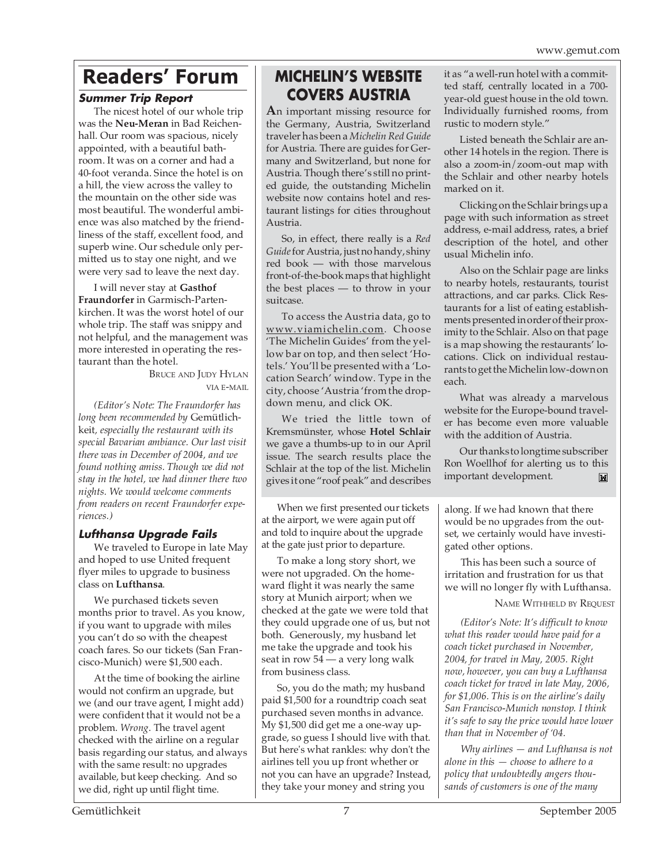# **Readers' Forum**

# **Summer Trip Report**

The nicest hotel of our whole trip was the **Neu-Meran** in Bad Reichenhall. Our room was spacious, nicely appointed, with a beautiful bathroom. It was on a corner and had a 40-foot veranda. Since the hotel is on a hill, the view across the valley to the mountain on the other side was most beautiful. The wonderful ambience was also matched by the friendliness of the staff, excellent food, and superb wine. Our schedule only permitted us to stay one night, and we were very sad to leave the next day.

I will never stay at **Gasthof Fraundorfer** in Garmisch-Partenkirchen. It was the worst hotel of our whole trip. The staff was snippy and not helpful, and the management was more interested in operating the restaurant than the hotel.

BRUCE AND JUDY HYLAN VIA E-MAIL

*(Editor's Note: The Fraundorfer has long been recommended by* Gemütlichkeit*, especially the restaurant with its special Bavarian ambiance. Our last visit there was in December of 2004, and we found nothing amiss. Though we did not stay in the hotel, we had dinner there two nights. We would welcome comments from readers on recent Fraundorfer experiences.)*

# **Lufthansa Upgrade Fails**

We traveled to Europe in late May and hoped to use United frequent flyer miles to upgrade to business class on **Lufthansa**.

We purchased tickets seven months prior to travel. As you know, if you want to upgrade with miles you can't do so with the cheapest coach fares. So our tickets (San Francisco-Munich) were \$1,500 each.

At the time of booking the airline would not confirm an upgrade, but we (and our trave agent, I might add) were confident that it would not be a problem. *Wrong*. The travel agent checked with the airline on a regular basis regarding our status, and always with the same result: no upgrades available, but keep checking. And so we did, right up until flight time.

# **MICHELIN'S WEBSITE COVERS AUSTRIA**

**A**n important missing resource for the Germany, Austria, Switzerland traveler has been a *Michelin Red Guide* for Austria. There are guides for Germany and Switzerland, but none for Austria. Though there's still no printed guide, the outstanding Michelin website now contains hotel and restaurant listings for cities throughout Austria.

So, in effect, there really is a *Red Guide*for Austria, just no handy, shiny red book — with those marvelous front-of-the-book maps that highlight the best places — to throw in your suitcase.

To access the Austria data, go to www.viamichelin.com. Choose 'The Michelin Guides' from the yellow bar on top, and then select 'Hotels.' You'll be presented with a 'Location Search' window. Type in the city, choose 'Austria 'from the dropdown menu, and click OK.

We tried the little town of Kremsmünster, whose **Hotel Schlair** we gave a thumbs-up to in our April issue. The search results place the Schlair at the top of the list. Michelin gives it one "roof peak" and describes

When we first presented our tickets at the airport, we were again put off and told to inquire about the upgrade at the gate just prior to departure.

To make a long story short, we were not upgraded. On the homeward flight it was nearly the same story at Munich airport; when we checked at the gate we were told that they could upgrade one of us, but not both. Generously, my husband let me take the upgrade and took his seat in row 54 — a very long walk from business class.

So, you do the math; my husband paid \$1,500 for a roundtrip coach seat purchased seven months in advance. My \$1,500 did get me a one-way upgrade, so guess I should live with that. But here's what rankles: why don't the airlines tell you up front whether or not you can have an upgrade? Instead, they take your money and string you

it as "a well-run hotel with a committed staff, centrally located in a 700 year-old guest house in the old town. Individually furnished rooms, from rustic to modern style."

Listed beneath the Schlair are another 14 hotels in the region. There is also a zoom-in/zoom-out map with the Schlair and other nearby hotels marked on it.

Clicking on the Schlair brings up a page with such information as street address, e-mail address, rates, a brief description of the hotel, and other usual Michelin info.

Also on the Schlair page are links to nearby hotels, restaurants, tourist attractions, and car parks. Click Restaurants for a list of eating establishments presented in order of their proximity to the Schlair. Also on that page is a map showing the restaurants' locations. Click on individual restaurants to get the Michelin low-down on each.

What was already a marvelous website for the Europe-bound traveler has become even more valuable with the addition of Austria.

Our thanks to longtime subscriber Ron Woellhof for alerting us to this important development. M

along. If we had known that there would be no upgrades from the outset, we certainly would have investigated other options.

This has been such a source of irritation and frustration for us that we will no longer fly with Lufthansa.

NAME WITHHELD BY REQUEST

*(Editor's Note: It's difficult to know what this reader would have paid for a coach ticket purchased in November, 2004, for travel in May, 2005. Right now, however, you can buy a Lufthansa coach ticket for travel in late May, 2006, for \$1,006. This is on the airline's daily San Francisco-Munich nonstop. I think it's safe to say the price would have lower than that in November of '04.*

*Why airlines — and Lufthansa is not alone in this — choose to adhere to a policy that undoubtedly angers thousands of customers is one of the many*